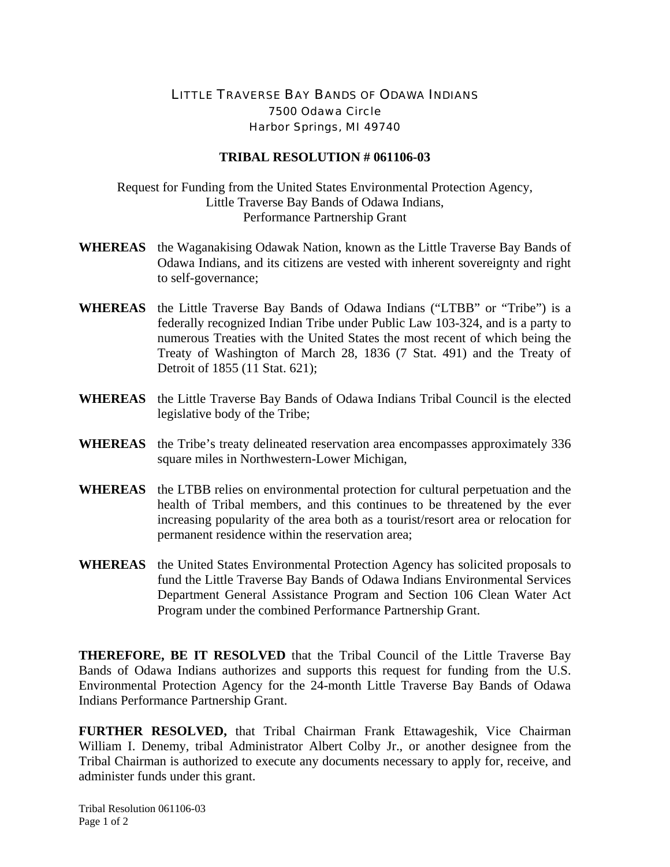## LITTLE TRAVERSE BAY BANDS OF ODAWA INDIANS 7500 Odawa Circle Harbor Springs, MI 49740

## **TRIBAL RESOLUTION # 061106-03**

Request for Funding from the United States Environmental Protection Agency, Little Traverse Bay Bands of Odawa Indians, Performance Partnership Grant

- **WHEREAS** the Waganakising Odawak Nation, known as the Little Traverse Bay Bands of Odawa Indians, and its citizens are vested with inherent sovereignty and right to self-governance;
- **WHEREAS** the Little Traverse Bay Bands of Odawa Indians ("LTBB" or "Tribe") is a federally recognized Indian Tribe under Public Law 103-324, and is a party to numerous Treaties with the United States the most recent of which being the Treaty of Washington of March 28, 1836 (7 Stat. 491) and the Treaty of Detroit of 1855 (11 Stat. 621);
- **WHEREAS** the Little Traverse Bay Bands of Odawa Indians Tribal Council is the elected legislative body of the Tribe;
- **WHEREAS** the Tribe's treaty delineated reservation area encompasses approximately 336 square miles in Northwestern-Lower Michigan,
- **WHEREAS** the LTBB relies on environmental protection for cultural perpetuation and the health of Tribal members, and this continues to be threatened by the ever increasing popularity of the area both as a tourist/resort area or relocation for permanent residence within the reservation area;
- **WHEREAS** the United States Environmental Protection Agency has solicited proposals to fund the Little Traverse Bay Bands of Odawa Indians Environmental Services Department General Assistance Program and Section 106 Clean Water Act Program under the combined Performance Partnership Grant.

**THEREFORE, BE IT RESOLVED** that the Tribal Council of the Little Traverse Bay Bands of Odawa Indians authorizes and supports this request for funding from the U.S. Environmental Protection Agency for the 24-month Little Traverse Bay Bands of Odawa Indians Performance Partnership Grant.

**FURTHER RESOLVED,** that Tribal Chairman Frank Ettawageshik, Vice Chairman William I. Denemy, tribal Administrator Albert Colby Jr., or another designee from the Tribal Chairman is authorized to execute any documents necessary to apply for, receive, and administer funds under this grant.